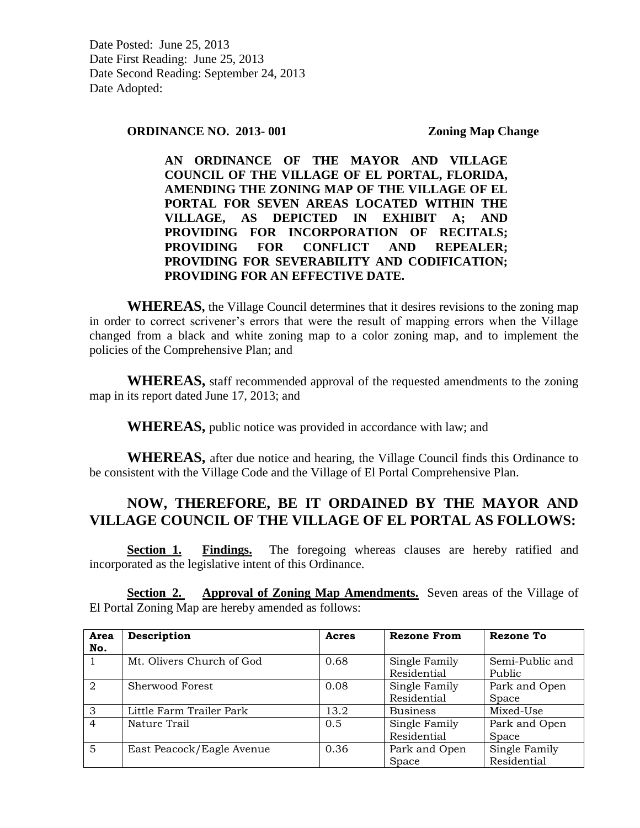Date Posted: June 25, 2013 Date First Reading: June 25, 2013 Date Second Reading: September 24, 2013 Date Adopted:

### **ORDINANCE NO. 2013- 001 Zoning Map Change**

**AN ORDINANCE OF THE MAYOR AND VILLAGE COUNCIL OF THE VILLAGE OF EL PORTAL, FLORIDA, AMENDING THE ZONING MAP OF THE VILLAGE OF EL PORTAL FOR SEVEN AREAS LOCATED WITHIN THE VILLAGE, AS DEPICTED IN EXHIBIT A; AND PROVIDING FOR INCORPORATION OF RECITALS; PROVIDING FOR CONFLICT AND REPEALER; PROVIDING FOR SEVERABILITY AND CODIFICATION; PROVIDING FOR AN EFFECTIVE DATE.**

**WHEREAS,** the Village Council determines that it desires revisions to the zoning map in order to correct scrivener's errors that were the result of mapping errors when the Village changed from a black and white zoning map to a color zoning map, and to implement the policies of the Comprehensive Plan; and

**WHEREAS,** staff recommended approval of the requested amendments to the zoning map in its report dated June 17, 2013; and

**WHEREAS,** public notice was provided in accordance with law; and

**WHEREAS,** after due notice and hearing, the Village Council finds this Ordinance to be consistent with the Village Code and the Village of El Portal Comprehensive Plan.

# **NOW, THEREFORE, BE IT ORDAINED BY THE MAYOR AND VILLAGE COUNCIL OF THE VILLAGE OF EL PORTAL AS FOLLOWS:**

**Section 1. Findings.** The foregoing whereas clauses are hereby ratified and incorporated as the legislative intent of this Ordinance.

**Section 2. Approval of Zoning Map Amendments.** Seven areas of the Village of El Portal Zoning Map are hereby amended as follows:

| Area           | Description               | Acres | <b>Rezone From</b> | <b>Rezone To</b> |
|----------------|---------------------------|-------|--------------------|------------------|
| No.            |                           |       |                    |                  |
|                | Mt. Olivers Church of God | 0.68  | Single Family      | Semi-Public and  |
|                |                           |       | Residential        | <b>Public</b>    |
| $\mathcal{D}$  | Sherwood Forest           | 0.08  | Single Family      | Park and Open    |
|                |                           |       | Residential        | Space            |
| 3              | Little Farm Trailer Park  | 13.2  | <b>Business</b>    | Mixed-Use        |
| $\overline{4}$ | Nature Trail              | 0.5   | Single Family      | Park and Open    |
|                |                           |       | Residential        | Space            |
| $\overline{5}$ | East Peacock/Eagle Avenue | 0.36  | Park and Open      | Single Family    |
|                |                           |       | Space              | Residential      |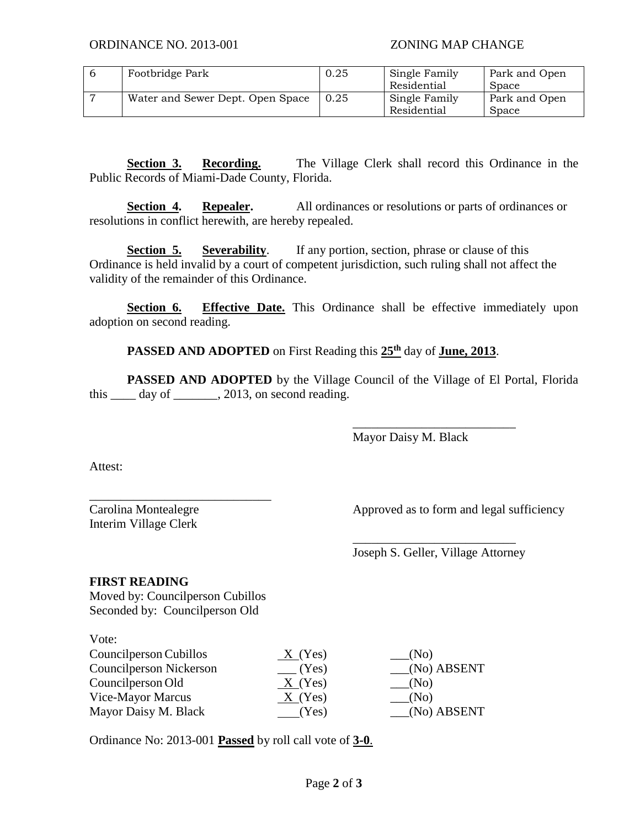| h | Footbridge Park                  | 0.25 | Single Family<br>Residential | Park and Open<br>Space |
|---|----------------------------------|------|------------------------------|------------------------|
|   | Water and Sewer Dept. Open Space | 0.25 | Single Family<br>Residential | Park and Open<br>Space |

**Section 3. Recording.** The Village Clerk shall record this Ordinance in the Public Records of Miami-Dade County, Florida.

**Section 4. Repealer.** All ordinances or resolutions or parts of ordinances or resolutions in conflict herewith, are hereby repealed.

**Section 5. Severability**. If any portion, section, phrase or clause of this Ordinance is held invalid by a court of competent jurisdiction, such ruling shall not affect the validity of the remainder of this Ordinance.

**Section 6. Effective Date.** This Ordinance shall be effective immediately upon adoption on second reading.

**PASSED AND ADOPTED** on First Reading this **25th** day of **June, 2013**.

**PASSED AND ADOPTED** by the Village Council of the Village of El Portal, Florida this \_\_\_\_ day of \_\_\_\_\_\_, 2013, on second reading.

Mayor Daisy M. Black

\_\_\_\_\_\_\_\_\_\_\_\_\_\_\_\_\_\_\_\_\_\_\_\_\_\_

Attest:

Interim Village Clerk

Carolina Montealegre Approved as to form and legal sufficiency

\_\_\_\_\_\_\_\_\_\_\_\_\_\_\_\_\_\_\_\_\_\_\_\_\_\_ Joseph S. Geller, Village Attorney

## **FIRST READING**

Moved by: Councilperson Cubillos Seconded by: Councilperson Old

\_\_\_\_\_\_\_\_\_\_\_\_\_\_\_\_\_\_\_\_\_\_\_\_\_\_\_\_\_

Vote:

Councilperson Old  $X (Yes)$  \_\_\_(No) Vice-Mayor Marcus  $X (Yes)$  (No)

Councilperson Cubillos X (Yes) \_\_\_\_(No) Councilperson Nickerson \_\_\_\_\_\_\_\_\_\_(Yes) \_\_\_\_\_\_(No) ABSENT Mayor Daisy M. Black \_\_\_\_\_\_\_\_\_\_\_(Yes) \_\_\_\_\_\_\_(No) ABSENT

Ordinance No: 2013-001 **Passed** by roll call vote of **3-0**.